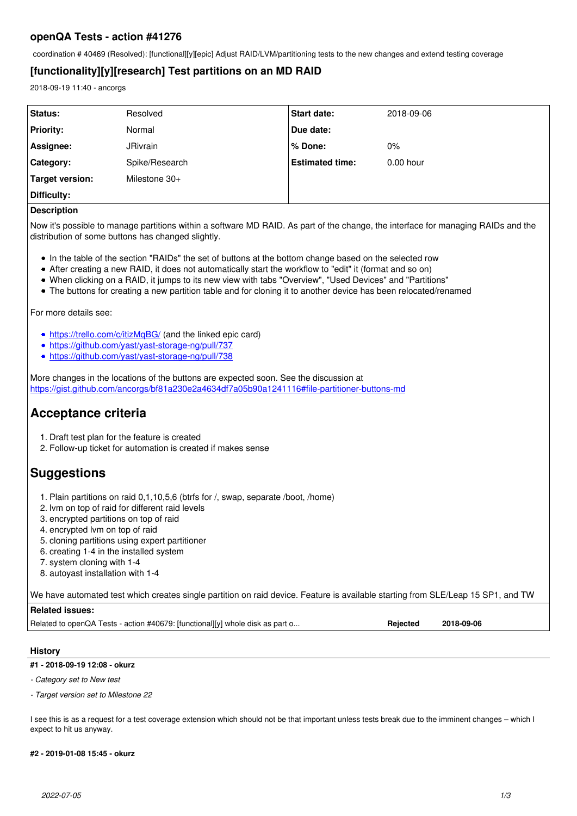## **openQA Tests - action #41276**

coordination # 40469 (Resolved): [functional][y][epic] Adjust RAID/LVM/partitioning tests to the new changes and extend testing coverage

# **[functionality][y][research] Test partitions on an MD RAID**

2018-09-19 11:40 - ancorgs

| Status:                | Resolved        | <b>Start date:</b>     | 2018-09-06  |
|------------------------|-----------------|------------------------|-------------|
| <b>Priority:</b>       | Normal          | Due date:              |             |
| Assignee:              | <b>JRivrain</b> | ∣% Done:               | $0\%$       |
| <b>Category:</b>       | Spike/Research  | <b>Estimated time:</b> | $0.00$ hour |
| <b>Target version:</b> | Milestone 30+   |                        |             |
| Difficulty:            |                 |                        |             |
| ___                    |                 |                        |             |

## **Description**

Now it's possible to manage partitions within a software MD RAID. As part of the change, the interface for managing RAIDs and the distribution of some buttons has changed slightly.

- In the table of the section "RAIDs" the set of buttons at the bottom change based on the selected row
- After creating a new RAID, it does not automatically start the workflow to "edit" it (format and so on)
- When clicking on a RAID, it jumps to its new view with tabs "Overview", "Used Devices" and "Partitions"
- The buttons for creating a new partition table and for cloning it to another device has been relocated/renamed

For more details see:

- <https://trello.com/c/itizMqBG/>(and the linked epic card)
- <https://github.com/yast/yast-storage-ng/pull/737>
- <https://github.com/yast/yast-storage-ng/pull/738>

More changes in the locations of the buttons are expected soon. See the discussion at <https://gist.github.com/ancorgs/bf81a230e2a4634df7a05b90a1241116#file-partitioner-buttons-md>

# **Acceptance criteria**

- 1. Draft test plan for the feature is created
- 2. Follow-up ticket for automation is created if makes sense

# **Suggestions**

- 1. Plain partitions on raid 0,1,10,5,6 (btrfs for /, swap, separate /boot, /home)
- 2. lvm on top of raid for different raid levels
- 3. encrypted partitions on top of raid
- 4. encrypted lvm on top of raid
- 5. cloning partitions using expert partitioner
- 6. creating 1-4 in the installed system
- 7. system cloning with 1-4
- 8. autoyast installation with 1-4

We have automated test which creates single partition on raid device. Feature is available starting from SLE/Leap 15 SP1, and TW

## **Related issues:**

Related to openQA Tests - action #40679: [functional][y] whole disk as part o... **Rejected 2018-09-06 Rejected** 

## **History**

## **#1 - 2018-09-19 12:08 - okurz**

*- Category set to New test*

#### *- Target version set to Milestone 22*

I see this is as a request for a test coverage extension which should not be that important unless tests break due to the imminent changes – which I expect to hit us anyway.

#### **#2 - 2019-01-08 15:45 - okurz**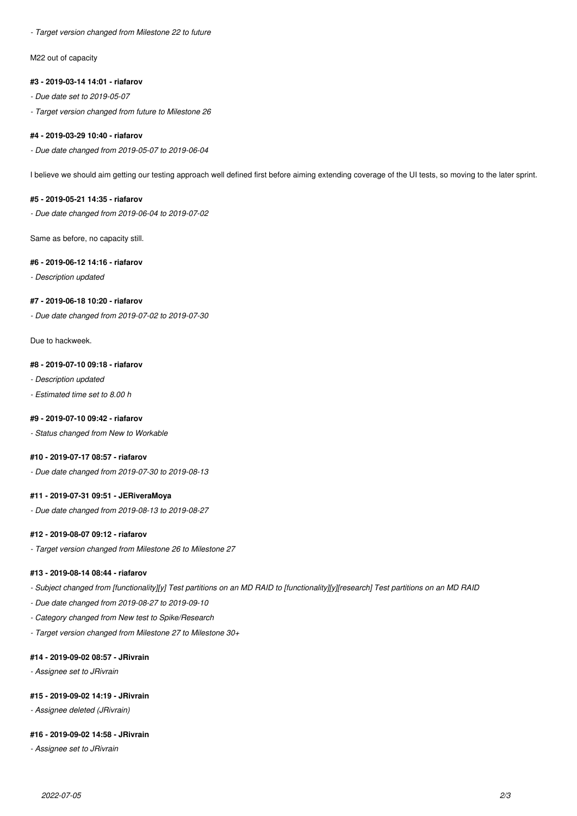*- Target version changed from Milestone 22 to future*

M22 out of capacity

## **#3 - 2019-03-14 14:01 - riafarov**

- *Due date set to 2019-05-07*
- *Target version changed from future to Milestone 26*

## **#4 - 2019-03-29 10:40 - riafarov**

*- Due date changed from 2019-05-07 to 2019-06-04*

I believe we should aim getting our testing approach well defined first before aiming extending coverage of the UI tests, so moving to the later sprint.

## **#5 - 2019-05-21 14:35 - riafarov**

*- Due date changed from 2019-06-04 to 2019-07-02*

Same as before, no capacity still.

## **#6 - 2019-06-12 14:16 - riafarov**

*- Description updated*

## **#7 - 2019-06-18 10:20 - riafarov**

*- Due date changed from 2019-07-02 to 2019-07-30*

Due to hackweek.

## **#8 - 2019-07-10 09:18 - riafarov**

*- Description updated*

*- Estimated time set to 8.00 h*

## **#9 - 2019-07-10 09:42 - riafarov**

*- Status changed from New to Workable*

## **#10 - 2019-07-17 08:57 - riafarov**

*- Due date changed from 2019-07-30 to 2019-08-13*

#### **#11 - 2019-07-31 09:51 - JERiveraMoya**

*- Due date changed from 2019-08-13 to 2019-08-27*

#### **#12 - 2019-08-07 09:12 - riafarov**

*- Target version changed from Milestone 26 to Milestone 27*

## **#13 - 2019-08-14 08:44 - riafarov**

- *Subject changed from [functionality][y] Test partitions on an MD RAID to [functionality][y][research] Test partitions on an MD RAID*
- *Due date changed from 2019-08-27 to 2019-09-10*
- *Category changed from New test to Spike/Research*
- *Target version changed from Milestone 27 to Milestone 30+*

## **#14 - 2019-09-02 08:57 - JRivrain**

*- Assignee set to JRivrain*

## **#15 - 2019-09-02 14:19 - JRivrain**

*- Assignee deleted (JRivrain)*

## **#16 - 2019-09-02 14:58 - JRivrain**

*- Assignee set to JRivrain*